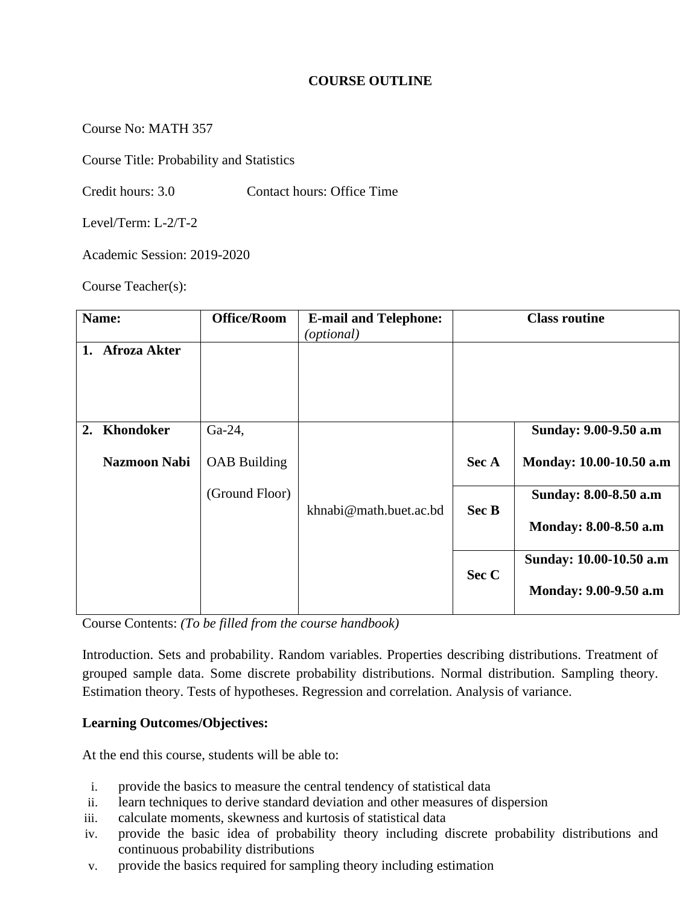## **COURSE OUTLINE**

Course No: MATH 357

Course Title: Probability and Statistics

Credit hours: 3.0 Contact hours: Office Time

Level/Term: L-2/T-2

Academic Session: 2019-2020

Course Teacher(s):

| Name: |                     | <b>Office/Room</b>  | <b>E-mail and Telephone:</b><br>( <i>optional</i> ) | <b>Class routine</b> |                         |  |
|-------|---------------------|---------------------|-----------------------------------------------------|----------------------|-------------------------|--|
| 1.    | <b>Afroza Akter</b> |                     |                                                     |                      |                         |  |
| 2.    | Khondoker           | Ga-24,              |                                                     |                      | Sunday: 9.00-9.50 a.m   |  |
|       | <b>Nazmoon Nabi</b> | <b>OAB</b> Building |                                                     | Sec A                | Monday: 10.00-10.50 a.m |  |
|       |                     | (Ground Floor)      | khnabi@math.buet.ac.bd                              | Sec B                | Sunday: 8.00-8.50 a.m   |  |
|       |                     |                     |                                                     |                      | Monday: 8.00-8.50 a.m   |  |
|       |                     |                     |                                                     | Sec C                | Sunday: 10.00-10.50 a.m |  |
|       |                     |                     |                                                     |                      | Monday: 9.00-9.50 a.m   |  |

Course Contents: *(To be filled from the course handbook)*

Introduction. Sets and probability. Random variables. Properties describing distributions. Treatment of grouped sample data. Some discrete probability distributions. Normal distribution. Sampling theory. Estimation theory. Tests of hypotheses. Regression and correlation. Analysis of variance.

### **Learning Outcomes/Objectives:**

At the end this course, students will be able to:

- i. provide the basics to measure the central tendency of statistical data
- ii. learn techniques to derive standard deviation and other measures of dispersion
- iii. calculate moments, skewness and kurtosis of statistical data
- iv. provide the basic idea of probability theory including discrete probability distributions and continuous probability distributions
- v. provide the basics required for sampling theory including estimation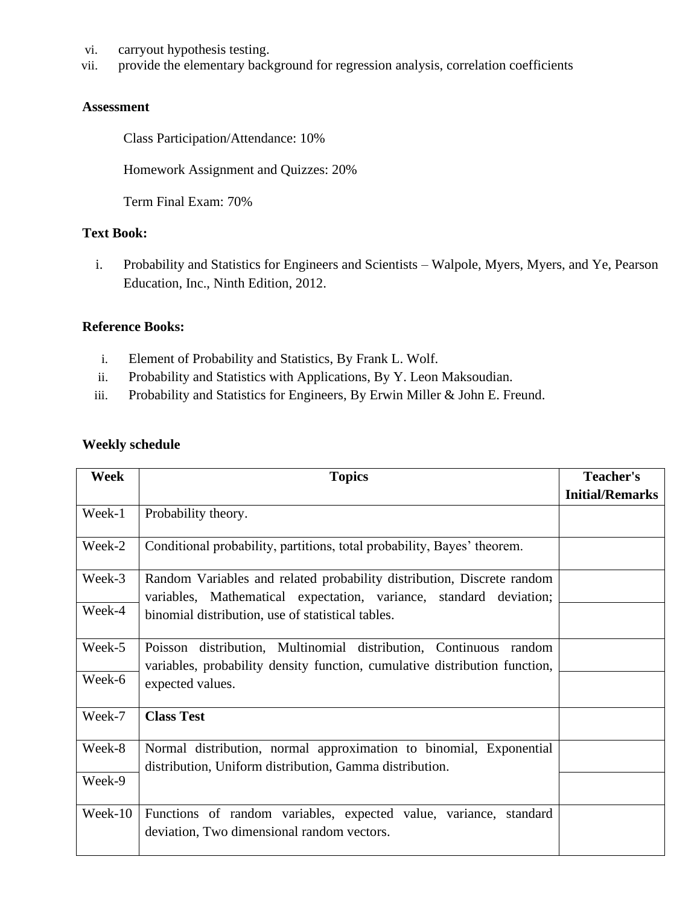- vi. carryout hypothesis testing.
- vii. provide the elementary background for regression analysis, correlation coefficients

### **Assessment**

Class Participation/Attendance: 10%

Homework Assignment and Quizzes: 20%

Term Final Exam: 70%

### **Text Book:**

i. Probability and Statistics for Engineers and Scientists – Walpole, Myers, Myers, and Ye, Pearson Education, Inc., Ninth Edition, 2012.

#### **Reference Books:**

- i. Element of Probability and Statistics, By Frank L. Wolf.
- ii. Probability and Statistics with Applications, By Y. Leon Maksoudian.
- iii. Probability and Statistics for Engineers, By Erwin Miller & John E. Freund.

# **Weekly schedule**

| <b>Week</b> | <b>Topics</b>                                                                                                                                   | <b>Teacher's</b>       |
|-------------|-------------------------------------------------------------------------------------------------------------------------------------------------|------------------------|
|             |                                                                                                                                                 | <b>Initial/Remarks</b> |
| Week-1      | Probability theory.                                                                                                                             |                        |
| Week-2      | Conditional probability, partitions, total probability, Bayes' theorem.                                                                         |                        |
| Week-3      | Random Variables and related probability distribution, Discrete random<br>variables, Mathematical expectation, variance, standard deviation;    |                        |
| Week-4      | binomial distribution, use of statistical tables.                                                                                               |                        |
| Week-5      | Poisson distribution, Multinomial distribution, Continuous random<br>variables, probability density function, cumulative distribution function, |                        |
| Week-6      | expected values.                                                                                                                                |                        |
| Week-7      | <b>Class Test</b>                                                                                                                               |                        |
| Week-8      | Normal distribution, normal approximation to binomial, Exponential<br>distribution, Uniform distribution, Gamma distribution.                   |                        |
| Week-9      |                                                                                                                                                 |                        |
| Week-10     | Functions of random variables, expected value, variance, standard<br>deviation, Two dimensional random vectors.                                 |                        |